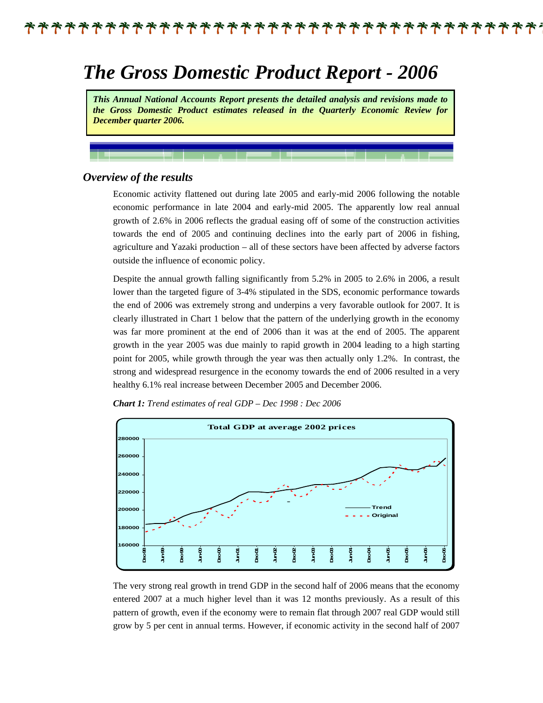### \*\*\*\*\*\*\*\*\*\*\*\*\*\*\*\*\*\*\*\*

# *The Gross Domestic Product Report - 2006*

*This Annual National Accounts Report presents the detailed analysis and revisions made to the Gross Domestic Product estimates released in the Quarterly Economic Review for December quarter 2006.* 

#### *Overview of the results*

Economic activity flattened out during late 2005 and early-mid 2006 following the notable economic performance in late 2004 and early-mid 2005. The apparently low real annual growth of 2.6% in 2006 reflects the gradual easing off of some of the construction activities towards the end of 2005 and continuing declines into the early part of 2006 in fishing, agriculture and Yazaki production – all of these sectors have been affected by adverse factors outside the influence of economic policy.

Despite the annual growth falling significantly from 5.2% in 2005 to 2.6% in 2006, a result lower than the targeted figure of 3-4% stipulated in the SDS, economic performance towards the end of 2006 was extremely strong and underpins a very favorable outlook for 2007. It is clearly illustrated in Chart 1 below that the pattern of the underlying growth in the economy was far more prominent at the end of 2006 than it was at the end of 2005. The apparent growth in the year 2005 was due mainly to rapid growth in 2004 leading to a high starting point for 2005, while growth through the year was then actually only 1.2%. In contrast, the strong and widespread resurgence in the economy towards the end of 2006 resulted in a very healthy 6.1% real increase between December 2005 and December 2006.



*Chart 1: Trend estimates of real GDP – Dec 1998 : Dec 2006*

The very strong real growth in trend GDP in the second half of 2006 means that the economy entered 2007 at a much higher level than it was 12 months previously. As a result of this pattern of growth, even if the economy were to remain flat through 2007 real GDP would still grow by 5 per cent in annual terms. However, if economic activity in the second half of 2007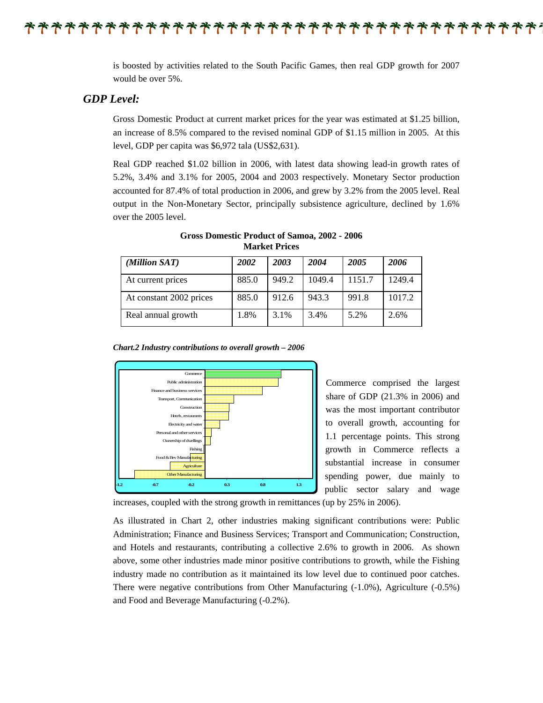\*\*\*\*\*\*\*\*\*\*\*\*\*\*\*\*\*\*\*

is boosted by activities related to the South Pacific Games, then real GDP growth for 2007 would be over 5%.

#### *GDP Level:*

Gross Domestic Product at current market prices for the year was estimated at \$1.25 billion, an increase of 8.5% compared to the revised nominal GDP of \$1.15 million in 2005. At this level, GDP per capita was \$6,972 tala (US\$2,631).

Real GDP reached \$1.02 billion in 2006, with latest data showing lead-in growth rates of 5.2%, 3.4% and 3.1% for 2005, 2004 and 2003 respectively. Monetary Sector production accounted for 87.4% of total production in 2006, and grew by 3.2% from the 2005 level. Real output in the Non-Monetary Sector, principally subsistence agriculture, declined by 1.6% over the 2005 level.

| (Million SAT)           | 2002  | 2003  | 2004   | 2005   | 2006   |
|-------------------------|-------|-------|--------|--------|--------|
| At current prices       | 885.0 | 949.2 | 1049.4 | 1151.7 | 1249.4 |
| At constant 2002 prices | 885.0 | 912.6 | 943.3  | 991.8  | 1017.2 |
| Real annual growth      | 1.8%  | 3.1%  | 3.4%   | 5.2%   | 2.6%   |

**Gross Domestic Product of Samoa, 2002 - 2006 Market Prices**

*Chart.2 Industry contributions to overall growth – 2006*



Commerce comprised the largest share of GDP (21.3% in 2006) and was the most important contributor to overall growth, accounting for 1.1 percentage points. This strong growth in Commerce reflects a substantial increase in consumer spending power, due mainly to public sector salary and wage

increases, coupled with the strong growth in remittances (up by 25% in 2006).

As illustrated in Chart 2, other industries making significant contributions were: Public Administration; Finance and Business Services; Transport and Communication; Construction, and Hotels and restaurants, contributing a collective 2.6% to growth in 2006. As shown above, some other industries made minor positive contributions to growth, while the Fishing industry made no contribution as it maintained its low level due to continued poor catches. There were negative contributions from Other Manufacturing (-1.0%), Agriculture (-0.5%) and Food and Beverage Manufacturing (-0.2%).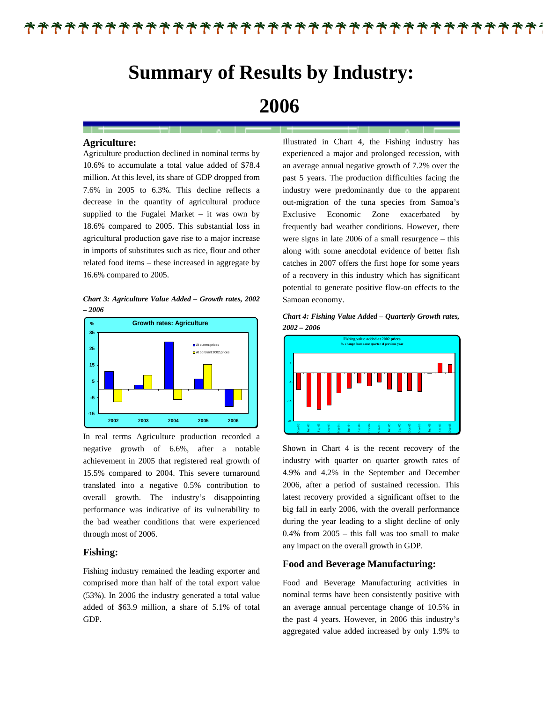### F\*\*\*\*\*\*\*\*\*\*\*\*\*\*\*\*\*\*\*\*\*\*\*\*\*\*\*\*\*

# **Summary of Results by Industry:**

# **2006**

#### **Agriculture:**

Agriculture production declined in nominal terms by 10.6% to accumulate a total value added of \$78.4 million. At this level, its share of GDP dropped from 7.6% in 2005 to 6.3%. This decline reflects a decrease in the quantity of agricultural produce supplied to the Fugalei Market – it was own by 18.6% compared to 2005. This substantial loss in agricultural production gave rise to a major increase in imports of substitutes such as rice, flour and other related food items – these increased in aggregate by 16.6% compared to 2005.

*Chart 3: Agriculture Value Added – Growth rates, 2002 – 2006* 



In real terms Agriculture production recorded a negative growth of 6.6%, after a notable achievement in 2005 that registered real growth of 15.5% compared to 2004. This severe turnaround translated into a negative 0.5% contribution to overall growth. The industry's disappointing performance was indicative of its vulnerability to the bad weather conditions that were experienced through most of 2006.

#### **Fishing:**

Fishing industry remained the leading exporter and comprised more than half of the total export value (53%). In 2006 the industry generated a total value added of \$63.9 million, a share of 5.1% of total GDP.

Illustrated in Chart 4, the Fishing industry has experienced a major and prolonged recession, with an average annual negative growth of 7.2% over the past 5 years. The production difficulties facing the industry were predominantly due to the apparent out-migration of the tuna species from Samoa's Exclusive Economic Zone exacerbated by frequently bad weather conditions. However, there were signs in late 2006 of a small resurgence – this along with some anecdotal evidence of better fish catches in 2007 offers the first hope for some years of a recovery in this industry which has significant potential to generate positive flow-on effects to the Samoan economy.

*Chart 4: Fishing Value Added – Quarterly Growth rates, 2002 – 2006* 



Shown in Chart 4 is the recent recovery of the industry with quarter on quarter growth rates of 4.9% and 4.2% in the September and December 2006, after a period of sustained recession. This latest recovery provided a significant offset to the big fall in early 2006, with the overall performance during the year leading to a slight decline of only 0.4% from 2005 – this fall was too small to make any impact on the overall growth in GDP.

#### **Food and Beverage Manufacturing:**

Food and Beverage Manufacturing activities in nominal terms have been consistently positive with an average annual percentage change of 10.5% in the past 4 years. However, in 2006 this industry's aggregated value added increased by only 1.9% to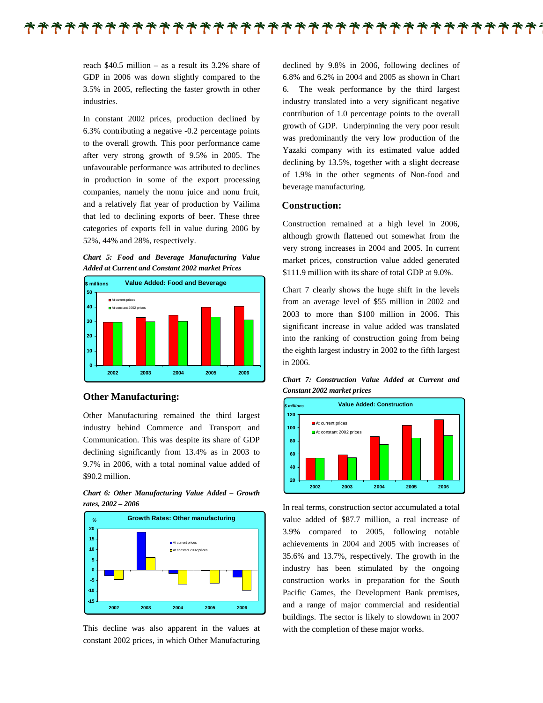\*\*\*\*\*\*\*\*\*\*\*\*\*\*\*\*\*\*\*\*\*\*\*\*\*\*\*\*\*\*\*

reach \$40.5 million – as a result its 3.2% share of GDP in 2006 was down slightly compared to the 3.5% in 2005, reflecting the faster growth in other industries.

In constant 2002 prices, production declined by 6.3% contributing a negative -0.2 percentage points to the overall growth. This poor performance came after very strong growth of 9.5% in 2005. The unfavourable performance was attributed to declines in production in some of the export processing companies, namely the nonu juice and nonu fruit, and a relatively flat year of production by Vailima that led to declining exports of beer. These three categories of exports fell in value during 2006 by 52%, 44% and 28%, respectively.





#### **Other Manufacturing:**

Other Manufacturing remained the third largest industry behind Commerce and Transport and Communication. This was despite its share of GDP declining significantly from 13.4% as in 2003 to 9.7% in 2006, with a total nominal value added of \$90.2 million.





This decline was also apparent in the values at constant 2002 prices, in which Other Manufacturing declined by 9.8% in 2006, following declines of 6.8% and 6.2% in 2004 and 2005 as shown in Chart 6. The weak performance by the third largest industry translated into a very significant negative contribution of 1.0 percentage points to the overall growth of GDP. Underpinning the very poor result was predominantly the very low production of the Yazaki company with its estimated value added declining by 13.5%, together with a slight decrease of 1.9% in the other segments of Non-food and beverage manufacturing.

#### **Construction:**

Construction remained at a high level in 2006, although growth flattened out somewhat from the very strong increases in 2004 and 2005. In current market prices, construction value added generated \$111.9 million with its share of total GDP at 9.0%.

Chart 7 clearly shows the huge shift in the levels from an average level of \$55 million in 2002 and 2003 to more than \$100 million in 2006. This significant increase in value added was translated into the ranking of construction going from being the eighth largest industry in 2002 to the fifth largest in 2006.

*Chart 7: Construction Value Added at Current and Constant 2002 market prices* 



In real terms, construction sector accumulated a total value added of \$87.7 million, a real increase of 3.9% compared to 2005, following notable achievements in 2004 and 2005 with increases of 35.6% and 13.7%, respectively. The growth in the industry has been stimulated by the ongoing construction works in preparation for the South Pacific Games, the Development Bank premises, and a range of major commercial and residential buildings. The sector is likely to slowdown in 2007 with the completion of these major works.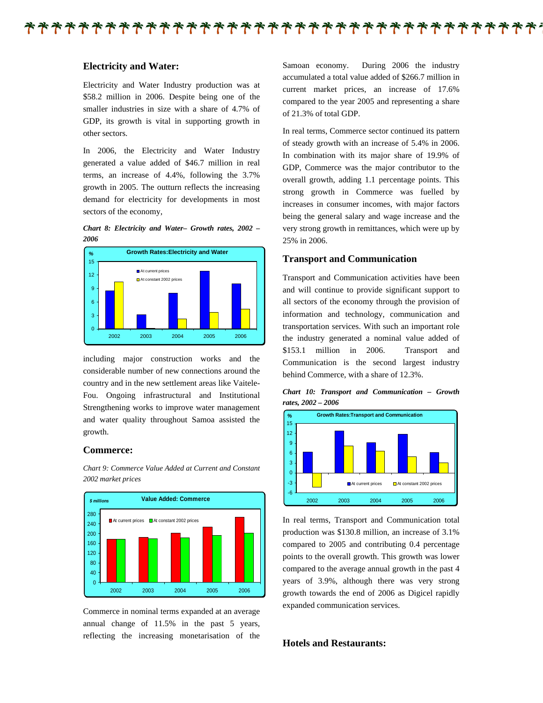#### **Electricity and Water:**

Electricity and Water Industry production was at \$58.2 million in 2006. Despite being one of the smaller industries in size with a share of 4.7% of GDP, its growth is vital in supporting growth in other sectors.

In 2006, the Electricity and Water Industry generated a value added of \$46.7 million in real terms, an increase of 4.4%, following the 3.7% growth in 2005. The outturn reflects the increasing demand for electricity for developments in most sectors of the economy,





including major construction works and the considerable number of new connections around the country and in the new settlement areas like Vaitele-Fou. Ongoing infrastructural and Institutional Strengthening works to improve water management and water quality throughout Samoa assisted the growth.

#### **Commerce:**

*Chart 9: Commerce Value Added at Current and Constant 2002 market prices* 



Commerce in nominal terms expanded at an average annual change of 11.5% in the past 5 years, reflecting the increasing monetarisation of the Samoan economy. During 2006 the industry accumulated a total value added of \$266.7 million in current market prices, an increase of 17.6% compared to the year 2005 and representing a share of 21.3% of total GDP.

In real terms, Commerce sector continued its pattern of steady growth with an increase of 5.4% in 2006. In combination with its major share of 19.9% of GDP, Commerce was the major contributor to the overall growth, adding 1.1 percentage points. This strong growth in Commerce was fuelled by increases in consumer incomes, with major factors being the general salary and wage increase and the very strong growth in remittances, which were up by 25% in 2006.

#### **Transport and Communication**

Transport and Communication activities have been and will continue to provide significant support to all sectors of the economy through the provision of information and technology, communication and transportation services. With such an important role the industry generated a nominal value added of \$153.1 million in 2006. Transport and Communication is the second largest industry behind Commerce, with a share of 12.3%.

*Chart 10: Transport and Communication – Growth rates, 2002 – 2006* 



In real terms, Transport and Communication total production was \$130.8 million, an increase of 3.1% compared to 2005 and contributing 0.4 percentage points to the overall growth. This growth was lower compared to the average annual growth in the past 4 years of 3.9%, although there was very strong growth towards the end of 2006 as Digicel rapidly expanded communication services.

#### **Hotels and Restaurants:**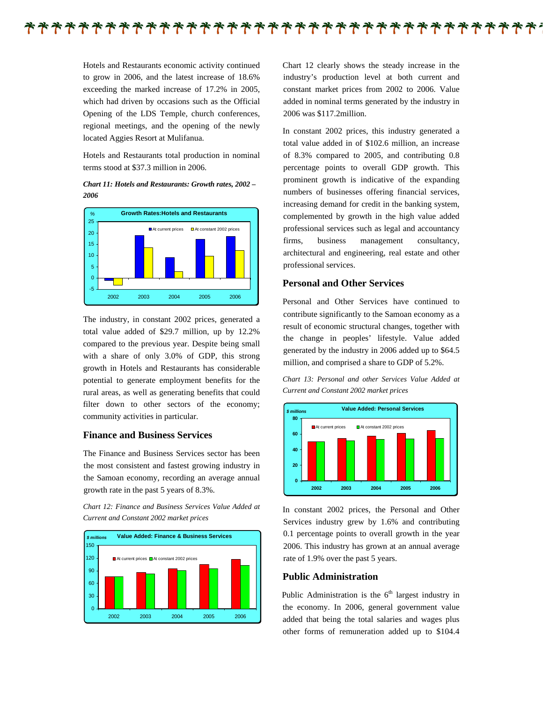

Hotels and Restaurants economic activity continued to grow in 2006, and the latest increase of 18.6% exceeding the marked increase of 17.2% in 2005, which had driven by occasions such as the Official Opening of the LDS Temple, church conferences, regional meetings, and the opening of the newly located Aggies Resort at Mulifanua.

Hotels and Restaurants total production in nominal terms stood at \$37.3 million in 2006.

*Chart 11: Hotels and Restaurants: Growth rates, 2002 – 2006* 



The industry, in constant 2002 prices, generated a total value added of \$29.7 million, up by 12.2% compared to the previous year. Despite being small with a share of only 3.0% of GDP, this strong growth in Hotels and Restaurants has considerable potential to generate employment benefits for the rural areas, as well as generating benefits that could filter down to other sectors of the economy; community activities in particular.

#### **Finance and Business Services**

The Finance and Business Services sector has been the most consistent and fastest growing industry in the Samoan economy, recording an average annual growth rate in the past 5 years of 8.3%.

*Chart 12: Finance and Business Services Value Added at Current and Constant 2002 market prices* 



Chart 12 clearly shows the steady increase in the industry's production level at both current and constant market prices from 2002 to 2006. Value added in nominal terms generated by the industry in 2006 was \$117.2million.

In constant 2002 prices, this industry generated a total value added in of \$102.6 million, an increase of 8.3% compared to 2005, and contributing 0.8 percentage points to overall GDP growth. This prominent growth is indicative of the expanding numbers of businesses offering financial services, increasing demand for credit in the banking system, complemented by growth in the high value added professional services such as legal and accountancy firms, business management consultancy, architectural and engineering, real estate and other professional services.

#### **Personal and Other Services**

Personal and Other Services have continued to contribute significantly to the Samoan economy as a result of economic structural changes, together with the change in peoples' lifestyle. Value added generated by the industry in 2006 added up to \$64.5 million, and comprised a share to GDP of 5.2%.

*Chart 13: Personal and other Services Value Added at Current and Constant 2002 market prices* 



In constant 2002 prices, the Personal and Other Services industry grew by 1.6% and contributing 0.1 percentage points to overall growth in the year 2006. This industry has grown at an annual average rate of 1.9% over the past 5 years.

#### **Public Administration**

Public Administration is the  $6<sup>th</sup>$  largest industry in the economy. In 2006, general government value added that being the total salaries and wages plus other forms of remuneration added up to \$104.4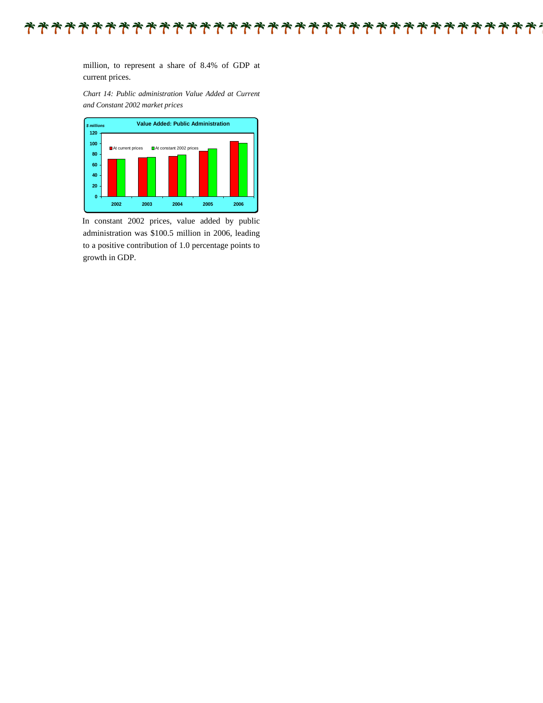#### $\ddot{\phantom{a}}$

million, to represent a share of 8.4% of GDP at current prices.

*Chart 14: Public administration Value Added at Current and Constant 2002 market prices* 



In constant 2002 prices, value added by public administration was \$100.5 million in 2006, leading to a positive contribution of 1.0 percentage points to growth in GDP.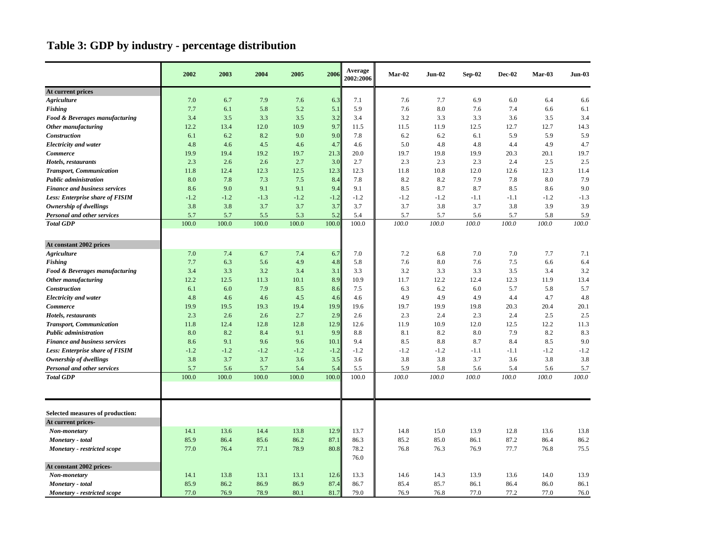### **Table 3: GDP by industry - percentage distribution**

|                                        | 2002   | 2003   | 2004   | 2005   | 2006   | Average<br>2002:2006 | $Mar-02$ | $Jun-02$ | $Sep-02$ | $Dec-02$ | Mar-03 | Jun-03 |
|----------------------------------------|--------|--------|--------|--------|--------|----------------------|----------|----------|----------|----------|--------|--------|
| At current prices                      |        |        |        |        |        |                      |          |          |          |          |        |        |
| <b>Agriculture</b>                     | 7.0    | 6.7    | 7.9    | 7.6    | 6.3    | 7.1                  | 7.6      | 7.7      | 6.9      | 6.0      | 6.4    | 6.6    |
| Fishing                                | 7.7    | 6.1    | 5.8    | 5.2    | 5.1    | 5.9                  | 7.6      | 8.0      | 7.6      | 7.4      | 6.6    | 6.1    |
| Food & Beverages manufacturing         | 3.4    | 3.5    | 3.3    | 3.5    | 3.2    | 3.4                  | 3.2      | 3.3      | 3.3      | 3.6      | 3.5    | 3.4    |
| Other manufacturing                    | 12.2   | 13.4   | 12.0   | 10.9   | 9.7    | 11.5                 | 11.5     | 11.9     | 12.5     | 12.7     | 12.7   | 14.3   |
| Construction                           | 6.1    | 6.2    | 8.2    | 9.0    | 9.0    | 7.8                  | 6.2      | 6.2      | 6.1      | 5.9      | 5.9    | 5.9    |
| <b>Electricity and water</b>           | 4.8    | 4.6    | 4.5    | 4.6    | 4.7    | 4.6                  | 5.0      | 4.8      | 4.8      | 4.4      | 4.9    | 4.7    |
| <b>Commerce</b>                        | 19.9   | 19.4   | 19.2   | 19.7   | 21.3   | 20.0                 | 19.7     | 19.8     | 19.9     | 20.3     | 20.1   | 19.7   |
| Hotels, restaurants                    | 2.3    | 2.6    | 2.6    | 2.7    | 3.0    | 2.7                  | 2.3      | 2.3      | 2.3      | 2.4      | 2.5    | 2.5    |
| <b>Transport, Communication</b>        | 11.8   | 12.4   | 12.3   | 12.5   | 12.3   | 12.3                 | 11.8     | 10.8     | 12.0     | 12.6     | 12.3   | 11.4   |
| <b>Public administration</b>           | 8.0    | 7.8    | 7.3    | 7.5    | 8.4    | 7.8                  | 8.2      | 8.2      | 7.9      | 7.8      | 8.0    | 7.9    |
| <b>Finance and business services</b>   | 8.6    | 9.0    | 9.1    | 9.1    | 9.4    | 9.1                  | 8.5      | 8.7      | 8.7      | 8.5      | 8.6    | 9.0    |
| <b>Less: Enterprise share of FISIM</b> | $-1.2$ | $-1.2$ | $-1.3$ | $-1.2$ | $-1.2$ | $-1.2$               | $-1.2$   | $-1.2$   | $-1.1$   | $-1.1$   | $-1.2$ | $-1.3$ |
| Ownership of dwellings                 | 3.8    | 3.8    | 3.7    | 3.7    | 3.7    | 3.7                  | 3.7      | 3.8      | 3.7      | 3.8      | 3.9    | 3.9    |
| Personal and other services            | 5.7    | 5.7    | 5.5    | 5.3    | 5.2    | 5.4                  | 5.7      | 5.7      | 5.6      | 5.7      | 5.8    | 5.9    |
| <b>Total GDP</b>                       | 100.0  | 100.0  | 100.0  | 100.0  | 100.0  | 100.0                | 100.0    | 100.0    | 100.0    | 100.0    | 100.0  | 100.0  |
| At constant 2002 prices                |        |        |        |        |        |                      |          |          |          |          |        |        |
| <b>Agriculture</b>                     | 7.0    | 7.4    | 6.7    | 7.4    | 6.7    | 7.0                  | 7.2      | 6.8      | 7.0      | 7.0      | 7.7    | 7.1    |
| Fishing                                | 7.7    | 6.3    | 5.6    | 4.9    | 4.8    | 5.8                  | 7.6      | 8.0      | 7.6      | 7.5      | 6.6    | 6.4    |
| Food & Beverages manufacturing         | 3.4    | 3.3    | 3.2    | 3.4    | 3.1    | 3.3                  | 3.2      | 3.3      | 3.3      | 3.5      | 3.4    | 3.2    |
| Other manufacturing                    | 12.2   | 12.5   | 11.3   | 10.1   | 8.9    | 10.9                 | 11.7     | 12.2     | 12.4     | 12.3     | 11.9   | 13.4   |
| Construction                           | 6.1    | 6.0    | 7.9    | 8.5    | 8.6    | 7.5                  | 6.3      | 6.2      | 6.0      | 5.7      | 5.8    | 5.7    |
| <b>Electricity and water</b>           | 4.8    | 4.6    | 4.6    | 4.5    | 4.6    | 4.6                  | 4.9      | 4.9      | 4.9      | 4.4      | 4.7    | 4.8    |
| <b>Commerce</b>                        | 19.9   | 19.5   | 19.3   | 19.4   | 19.9   | 19.6                 | 19.7     | 19.9     | 19.8     | 20.3     | 20.4   | 20.1   |
| Hotels, restaurants                    | 2.3    | 2.6    | 2.6    | 2.7    | 2.9    | 2.6                  | 2.3      | 2.4      | 2.3      | 2.4      | 2.5    | 2.5    |
| <b>Transport, Communication</b>        | 11.8   | 12.4   | 12.8   | 12.8   | 12.9   | 12.6                 | 11.9     | 10.9     | 12.0     | 12.5     | 12.2   | 11.3   |
| <b>Public administration</b>           | 8.0    | 8.2    | 8.4    | 9.1    | 9.9    | 8.8                  | 8.1      | 8.2      | 8.0      | 7.9      | 8.2    | 8.3    |
| <b>Finance and business services</b>   | 8.6    | 9.1    | 9.6    | 9.6    | 10.1   | 9.4                  | 8.5      | 8.8      | 8.7      | 8.4      | 8.5    | 9.0    |
| <b>Less: Enterprise share of FISIM</b> | $-1.2$ | $-1.2$ | $-1.2$ | $-1.2$ | $-1.2$ | $-1.2$               | $-1.2$   | $-1.2$   | $-1.1$   | $-1.1$   | $-1.2$ | $-1.2$ |
| Ownership of dwellings                 | 3.8    | 3.7    | 3.7    | 3.6    | 3.5    | 3.6                  | 3.8      | 3.8      | 3.7      | 3.6      | 3.8    | 3.8    |
| <b>Personal and other services</b>     | 5.7    | 5.6    | 5.7    | 5.4    | 5.4    | 5.5                  | 5.9      | 5.8      | 5.6      | 5.4      | 5.6    | 5.7    |
| <b>Total GDP</b>                       | 100.0  | 100.0  | 100.0  | 100.0  | 100.0  | 100.0                | 100.0    | 100.0    | 100.0    | 100.0    | 100.0  | 100.0  |
|                                        |        |        |        |        |        |                      |          |          |          |          |        |        |
| Selected measures of production:       |        |        |        |        |        |                      |          |          |          |          |        |        |
| At current prices-                     |        |        |        |        |        |                      |          |          |          |          |        |        |
| Non-monetary                           | 14.1   | 13.6   | 14.4   | 13.8   | 12.9   | 13.7                 | 14.8     | 15.0     | 13.9     | 12.8     | 13.6   | 13.8   |
| Monetary - total                       | 85.9   | 86.4   | 85.6   | 86.2   | 87.1   | 86.3                 | 85.2     | 85.0     | 86.1     | 87.2     | 86.4   | 86.2   |
| <b>Monetary</b> - restricted scope     | 77.0   | 76.4   | 77.1   | 78.9   | 80.8   | 78.2<br>76.0         | 76.8     | 76.3     | 76.9     | 77.7     | 76.8   | 75.5   |
| At constant 2002 prices-               |        |        |        |        |        |                      |          |          |          |          |        |        |
| Non-monetary                           | 14.1   | 13.8   | 13.1   | 13.1   | 12.6   | 13.3                 | 14.6     | 14.3     | 13.9     | 13.6     | 14.0   | 13.9   |
| Monetary - total                       | 85.9   | 86.2   | 86.9   | 86.9   | 87.4   | 86.7                 | 85.4     | 85.7     | 86.1     | 86.4     | 86.0   | 86.1   |
| <b>Monetary</b> - restricted scope     | 77.0   | 76.9   | 78.9   | 80.1   | 81.7   | 79.0                 | 76.9     | 76.8     | 77.0     | 77.2     | 77.0   | 76.0   |